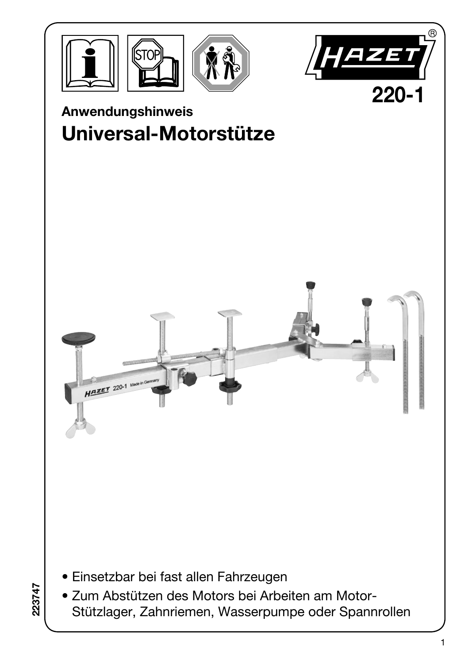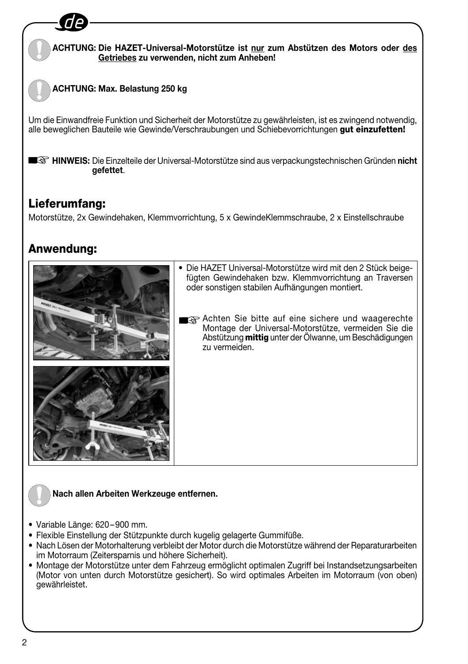### **ACHTUNG: Die HAZET-Universal-Motorstütze ist nur zum Abstützen des Motors oder des Getriebes zu verwenden, nicht zum Anheben!**

## **ACHTUNG: Max. Belastung 250 kg**

Um die Einwandfreie Funktion und Sicherheit der Motorstütze zu gewährleisten, ist es zwingend notwendig, alle beweglichen Bauteile wie Gewinde/Verschraubungen und Schiebevorrichtungen gut einzufetten!

**HINWEIS:** Die Einzelteile der Universal-Motorstütze sind aus verpackungstechnischen Gründen **nicht gefettet**.

## Lieferumfang:

Motorstütze, 2x Gewindehaken, Klemmvorrichtung, 5 x GewindeKlemmschraube, 2 x Einstellschraube

## Anwendung:



- Die HAZET Universal-Motorstütze wird mit den 2 Stück beigefügten Gewindehaken bzw. Klemmvorrichtung an Traversen oder sonstigen stabilen Aufhängungen montiert.
- a Achten Sie bitte auf eine sichere und waagerechte Montage der Universal-Motorstütze, vermeiden Sie die Abstützung **mittig** unter der Ölwanne, um Beschädigungen zu vermeiden.

#### **Nach allen Arbeiten Werkzeuge entfernen.**

- Variable Länge: 620–900 mm.
- Flexible Einstellung der Stützpunkte durch kugelig gelagerte Gummifüße.
- Nach Lösen der Motorhalterung verbleibt der Motor durch die Motorstütze während der Reparaturarbeiten im Motorraum (Zeitersparnis und höhere Sicherheit).
- Montage der Motorstütze unter dem Fahrzeug ermöglicht optimalen Zugriff bei Instandsetzungsarbeiten (Motor von unten durch Motorstütze gesichert). So wird optimales Arbeiten im Motorraum (von oben) gewährleistet.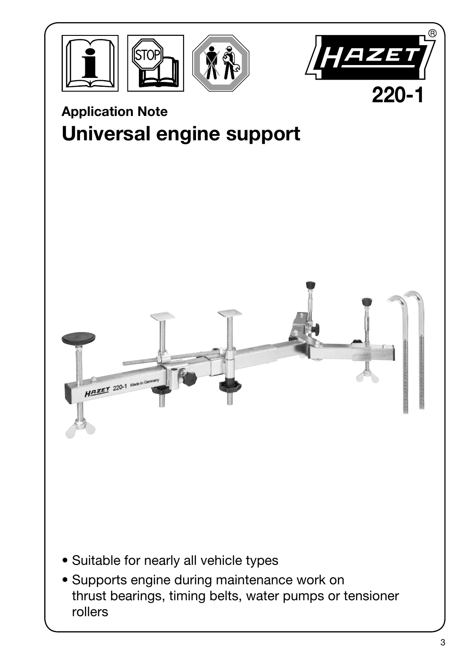